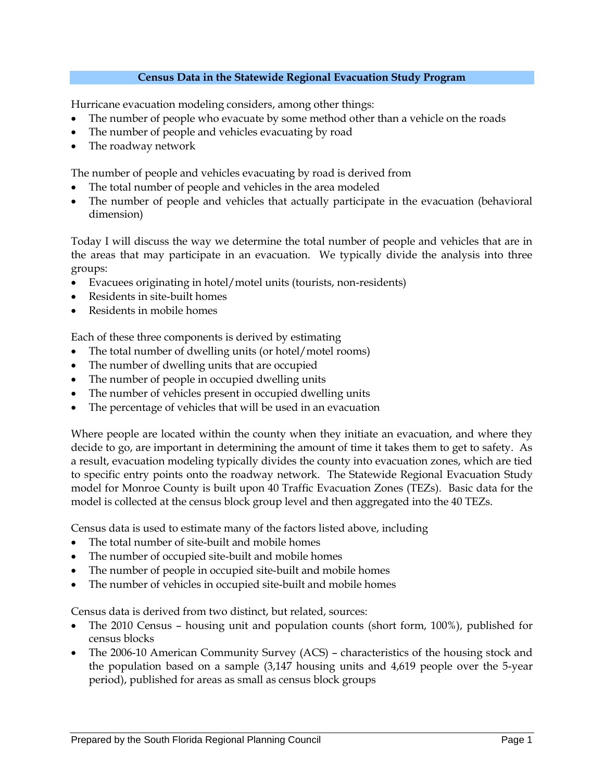## **Census Data in the Statewide Regional Evacuation Study Program**

Hurricane evacuation modeling considers, among other things:

- The number of people who evacuate by some method other than a vehicle on the roads
- The number of people and vehicles evacuating by road
- The roadway network

The number of people and vehicles evacuating by road is derived from

- The total number of people and vehicles in the area modeled
- The number of people and vehicles that actually participate in the evacuation (behavioral dimension)

Today I will discuss the way we determine the total number of people and vehicles that are in the areas that may participate in an evacuation. We typically divide the analysis into three groups:

- Evacuees originating in hotel/motel units (tourists, non-residents)
- Residents in site-built homes
- Residents in mobile homes

Each of these three components is derived by estimating

- The total number of dwelling units (or hotel/motel rooms)
- The number of dwelling units that are occupied
- The number of people in occupied dwelling units
- The number of vehicles present in occupied dwelling units
- The percentage of vehicles that will be used in an evacuation

Where people are located within the county when they initiate an evacuation, and where they decide to go, are important in determining the amount of time it takes them to get to safety. As a result, evacuation modeling typically divides the county into evacuation zones, which are tied to specific entry points onto the roadway network. The Statewide Regional Evacuation Study model for Monroe County is built upon 40 Traffic Evacuation Zones (TEZs). Basic data for the model is collected at the census block group level and then aggregated into the 40 TEZs.

Census data is used to estimate many of the factors listed above, including

- The total number of site-built and mobile homes
- The number of occupied site-built and mobile homes
- The number of people in occupied site-built and mobile homes
- The number of vehicles in occupied site-built and mobile homes

Census data is derived from two distinct, but related, sources:

- The 2010 Census housing unit and population counts (short form, 100%), published for census blocks
- The 2006-10 American Community Survey (ACS) characteristics of the housing stock and the population based on a sample (3,147 housing units and 4,619 people over the 5-year period), published for areas as small as census block groups